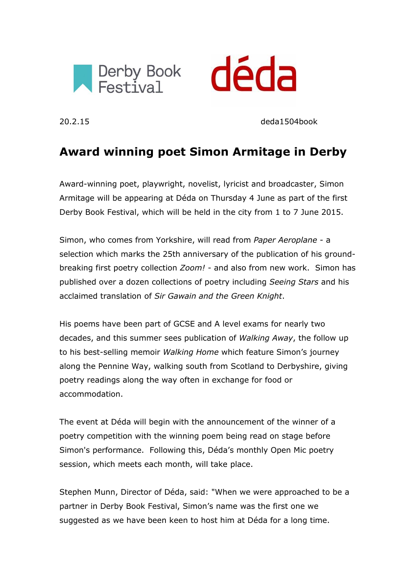



20.2.15 deda1504book

# **Award winning poet Simon Armitage in Derby**

Award-winning poet, playwright, novelist, lyricist and broadcaster, Simon Armitage will be appearing at Déda on Thursday 4 June as part of the first Derby Book Festival, which will be held in the city from 1 to 7 June 2015.

Simon, who comes from Yorkshire, will read from *Paper Aeroplane* - a selection which marks the 25th anniversary of the publication of his groundbreaking first poetry collection *Zoom!* - and also from new work. Simon has published over a dozen collections of poetry including *Seeing Stars* and his acclaimed translation of *Sir Gawain and the Green Knight*.

His poems have been part of GCSE and A level exams for nearly two decades, and this summer sees publication of *Walking Away*, the follow up to his best-selling memoir *Walking Home* which feature Simon's journey along the Pennine Way, walking south from Scotland to Derbyshire, giving poetry readings along the way often in exchange for food or accommodation.

The event at Déda will begin with the announcement of the winner of a poetry competition with the winning poem being read on stage before Simon's performance. Following this, Déda's monthly Open Mic poetry session, which meets each month, will take place.

Stephen Munn, Director of Déda, said: "When we were approached to be a partner in Derby Book Festival, Simon's name was the first one we suggested as we have been keen to host him at Déda for a long time.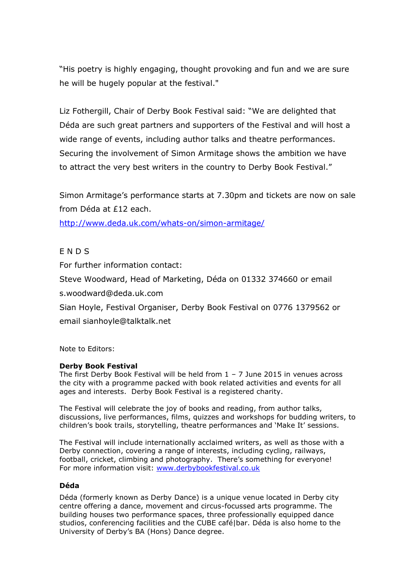"His poetry is highly engaging, thought provoking and fun and we are sure he will be hugely popular at the festival."

Liz Fothergill, Chair of Derby Book Festival said: "We are delighted that Déda are such great partners and supporters of the Festival and will host a wide range of events, including author talks and theatre performances. Securing the involvement of Simon Armitage shows the ambition we have to attract the very best writers in the country to Derby Book Festival."

Simon Armitage's performance starts at 7.30pm and tickets are now on sale from Déda at £12 each.

<http://www.deda.uk.com/whats-on/simon-armitage/>

## E N D S

For further information contact:

Steve Woodward, Head of Marketing, Déda on 01332 374660 or email

s.woodward@deda.uk.com

Sian Hoyle, Festival Organiser, Derby Book Festival on 0776 1379562 or email sianhoyle@talktalk.net

Note to Editors:

#### **Derby Book Festival**

The first Derby Book Festival will be held from  $1 - 7$  June 2015 in venues across the city with a programme packed with book related activities and events for all ages and interests. Derby Book Festival is a registered charity.

The Festival will celebrate the joy of books and reading, from author talks, discussions, live performances, films, quizzes and workshops for budding writers, to children's book trails, storytelling, theatre performances and 'Make It' sessions.

The Festival will include internationally acclaimed writers, as well as those with a Derby connection, covering a range of interests, including cycling, railways, football, cricket, climbing and photography. There's something for everyone! For more information visit: [www.derbybookfestival.co.uk](http://www.derbybookfestival.co.uk/) 

#### **Déda**

Déda (formerly known as Derby Dance) is a unique venue located in Derby city centre offering a dance, movement and circus-focussed arts programme. The building houses two performance spaces, three professionally equipped dance studios, conferencing facilities and the CUBE café|bar. Déda is also home to the University of Derby's BA (Hons) Dance degree.